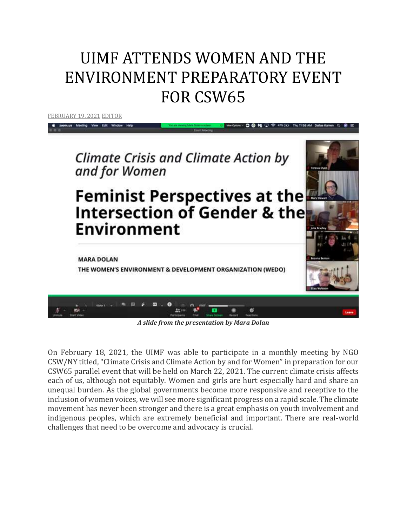## UIMF ATTENDS WOMEN AND THE ENVIRONMENT PREPARATORY EVENT FOR CSW65

[FEBRUARY](http://utahimf.org/archives/5898) 19, 2021 [EDITOR](http://utahimf.org/archives/author/editor)



*A slide from the presentation by Mara Dolan*

On February 18, 2021, the UIMF was able to participate in a monthly meeting by NGO CSW/NY titled, "Climate Crisis and Climate Action by and for Women" in preparation for our CSW65 parallel event that will be held on March 22, 2021. The current climate crisis affects each of us, although not equitably. Women and girls are hurt especially hard and share an unequal burden. As the global governments become more responsive and receptive to the inclusion of women voices, we will see more significant progress on a rapid scale. The climate movement has never been stronger and there is a great emphasis on youth involvement and indigenous peoples, which are extremely beneficial and important. There are real-world challenges that need to be overcome and advocacy is crucial.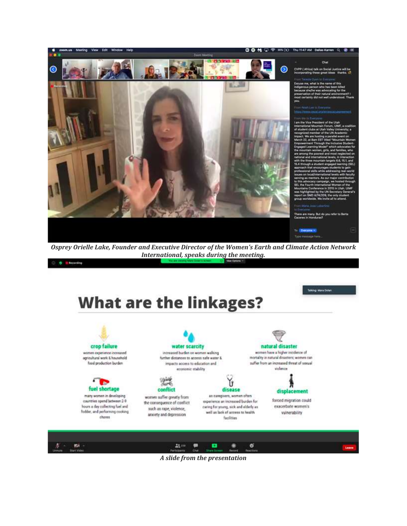

*Osprey Orielle Lake, Founder and Executive Director of the Women's Earth and Climate Action Network International, speaks during the meeting.*

Telking: Mara Dolan

O O Encorsing

**What are the linkages?** 

crop failure natural disaster water scarcity increased burden on women walking women have a higher incidence of women experience increased mortality in natural disasters; women can agricultural work & hounshold further distances to access safe water & food production burden suffer from an increased threat of sexual impacts access to education and violence economic stability л fuel shortage conflict disease displacement many women in developing as caregivers, women often women suffer greatly from forced migration could countries spend between 2-9 experience an increased burden for the consequence of conflict hoors a day collecting fuel and exacerbate women's caring for young, sick and eiderly an such as rape, violence, fodder, and performing cooking well as lack of access to health vulnerability anxiety and depression chares facilities

| - 方 - 四 -          |  |                                                |  | Leave |
|--------------------|--|------------------------------------------------|--|-------|
| Unmute Start Video |  | Perfolgerts Chat Share-Street Resort Reactions |  |       |

*A slide from the presentation*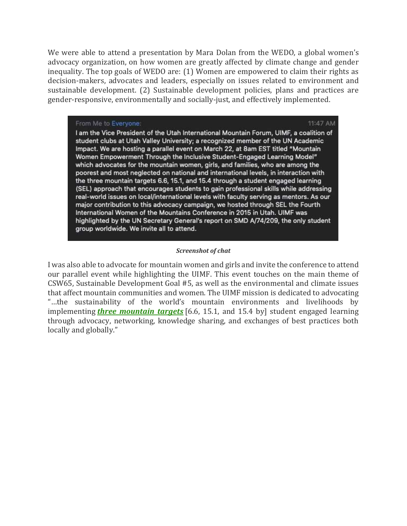We were able to attend a presentation by Mara Dolan from the WEDO, a global women's advocacy organization, on how women are greatly affected by climate change and gender inequality. The top goals of WEDO are: (1) Women are empowered to claim their rights as decision-makers, advocates and leaders, especially on issues related to environment and sustainable development. (2) Sustainable development policies, plans and practices are gender-responsive, environmentally and socially-just, and effectively implemented.

11:47 AM

## From Me to Everyone:

I am the Vice President of the Utah International Mountain Forum, UIMF, a coalition of student clubs at Utah Valley University; a recognized member of the UN Academic Impact. We are hosting a parallel event on March 22, at 8am EST titled "Mountain Women Empowerment Through the Inclusive Student-Engaged Learning Model" which advocates for the mountain women, girls, and families, who are among the poorest and most neglected on national and international levels, in interaction with the three mountain targets 6.6, 15.1, and 15.4 through a student engaged learning (SEL) approach that encourages students to gain professional skills while addressing real-world issues on local/international levels with faculty serving as mentors. As our major contribution to this advocacy campaign, we hosted through SEL the Fourth International Women of the Mountains Conference in 2015 in Utah. UIMF was highlighted by the UN Secretary General's report on SMD A/74/209, the only student group worldwide. We invite all to attend.

## *Screenshot of chat*

I was also able to advocate for mountain women and girls and invite the conference to attend our parallel event while highlighting the UIMF. This event touches on the main theme of CSW65, Sustainable Development Goal #5, as well as the environmental and climate issues that affect mountain communities and women. The UIMF mission is dedicated to advocating "…the sustainability of the world's mountain environments and livelihoods by implementing *three [mountain](http://utahimf.org/wp-content/uploads/2019/10/Sustainable-Development-Goal.pdf) targets* [6.6, 15.1, and 15.4 by] student engaged learning through advocacy, networking, knowledge sharing, and exchanges of best practices both locally and globally."